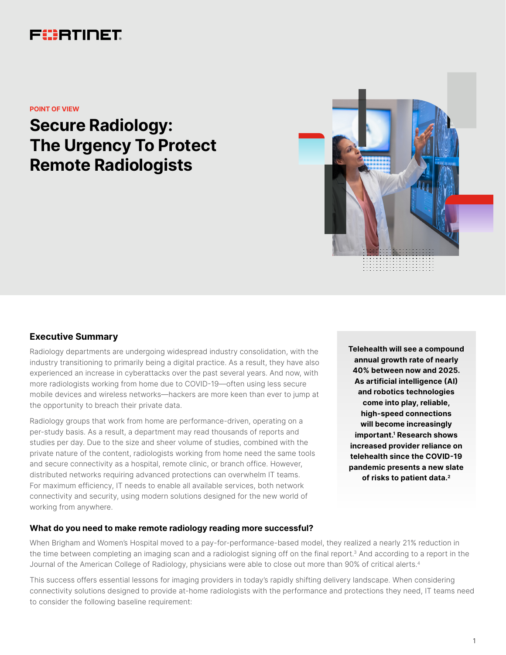# FURTINET

**POINT OF VIEW**

# **Secure Radiology: The Urgency To Protect Remote Radiologists**



## **Executive Summary**

Radiology departments are undergoing widespread industry consolidation, with the industry transitioning to primarily being a digital practice. As a result, they have also experienced an increase in cyberattacks over the past several years. And now, with more radiologists working from home due to COVID-19—often using less secure mobile devices and wireless networks—hackers are more keen than ever to jump at the opportunity to breach their private data.

Radiology groups that work from home are performance-driven, operating on a per-study basis. As a result, a department may read thousands of reports and studies per day. Due to the size and sheer volume of studies, combined with the private nature of the content, radiologists working from home need the same tools and secure connectivity as a hospital, remote clinic, or branch office. However, distributed networks requiring advanced protections can overwhelm IT teams. For maximum efficiency, IT needs to enable all available services, both network connectivity and security, using modern solutions designed for the new world of working from anywhere.

**Telehealth will see a compound annual growth rate of nearly 40% between now and 2025. As artificial intelligence (AI) and robotics technologies come into play, reliable, high-speed connections will become increasingly important.1 Research shows increased provider reliance on telehealth since the COVID-19 pandemic presents a new slate of risks to patient data.2**

#### **What do you need to make remote radiology reading more successful?**

When Brigham and Women's Hospital moved to a pay-for-performance-based model, they realized a nearly 21% reduction in the time between completing an imaging scan and a radiologist signing off on the final report.<sup>3</sup> And according to a report in the Journal of the American College of Radiology, physicians were able to close out more than 90% of critical alerts.4

This success offers essential lessons for imaging providers in today's rapidly shifting delivery landscape. When considering connectivity solutions designed to provide at-home radiologists with the performance and protections they need, IT teams need to consider the following baseline requirement: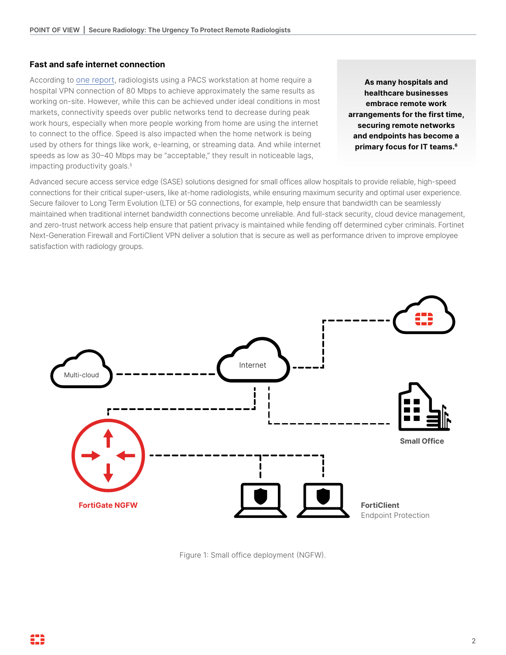## **Fast and safe internet connection**

According to [one report,](https://doubleblackimaging.com/2021/03/23/radiology-from-home/) radiologists using a PACS workstation at home require a hospital VPN connection of 80 Mbps to achieve approximately the same results as working on-site. However, while this can be achieved under ideal conditions in most markets, connectivity speeds over public networks tend to decrease during peak work hours, especially when more people working from home are using the internet to connect to the office. Speed is also impacted when the home network is being used by others for things like work, e-learning, or streaming data. And while internet speeds as low as 30–40 Mbps may be "acceptable," they result in noticeable lags, impacting productivity goals.<sup>5</sup>

**As many hospitals and healthcare businesses embrace remote work arrangements for the first time, securing remote networks and endpoints has become a primary focus for IT teams.6**

Advanced secure access service edge (SASE) solutions designed for small offices allow hospitals to provide reliable, high-speed connections for their critical super-users, like at-home radiologists, while ensuring maximum security and optimal user experience. Secure failover to Long Term Evolution (LTE) or 5G connections, for example, help ensure that bandwidth can be seamlessly maintained when traditional internet bandwidth connections become unreliable. And full-stack security, cloud device management, and zero-trust network access help ensure that patient privacy is maintained while fending off determined cyber criminals. Fortinet Next-Generation Firewall and FortiClient VPN deliver a solution that is secure as well as performance driven to improve employee satisfaction with radiology groups.



Figure 1: Small office deployment (NGFW).